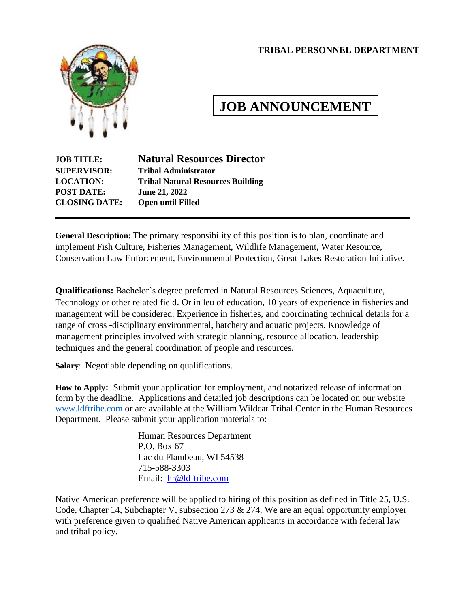#### **TRIBAL PERSONNEL DEPARTMENT**



# **JOB ANNOUNCEMENT**

| <b>JOB TITLE:</b>    | <b>Natural Resources Director</b>        |
|----------------------|------------------------------------------|
| <b>SUPERVISOR:</b>   | <b>Tribal Administrator</b>              |
| <b>LOCATION:</b>     | <b>Tribal Natural Resources Building</b> |
| <b>POST DATE:</b>    | June 21, 2022                            |
| <b>CLOSING DATE:</b> | <b>Open until Filled</b>                 |

**General Description:** The primary responsibility of this position is to plan, coordinate and implement Fish Culture, Fisheries Management, Wildlife Management, Water Resource, Conservation Law Enforcement, Environmental Protection, Great Lakes Restoration Initiative.

**Qualifications:** Bachelor's degree preferred in Natural Resources Sciences, Aquaculture, Technology or other related field. Or in leu of education, 10 years of experience in fisheries and management will be considered. Experience in fisheries, and coordinating technical details for a range of cross -disciplinary environmental, hatchery and aquatic projects. Knowledge of management principles involved with strategic planning, resource allocation, leadership techniques and the general coordination of people and resources.

**Salary**: Negotiable depending on qualifications.

**How to Apply:** Submit your application for employment, and notarized release of information form by the deadline. Applications and detailed job descriptions can be located on our website [www.ldftribe.com](http://www.ldftribe.com/) or are available at the William Wildcat Tribal Center in the Human Resources Department. Please submit your application materials to:

> Human Resources Department P.O. Box 67 Lac du Flambeau, WI 54538 715-588-3303 Email: [hr@ldftribe.com](mailto:hr@ldftribe.com)

Native American preference will be applied to hiring of this position as defined in Title 25, U.S. Code, Chapter 14, Subchapter V, subsection 273 & 274. We are an equal opportunity employer with preference given to qualified Native American applicants in accordance with federal law and tribal policy.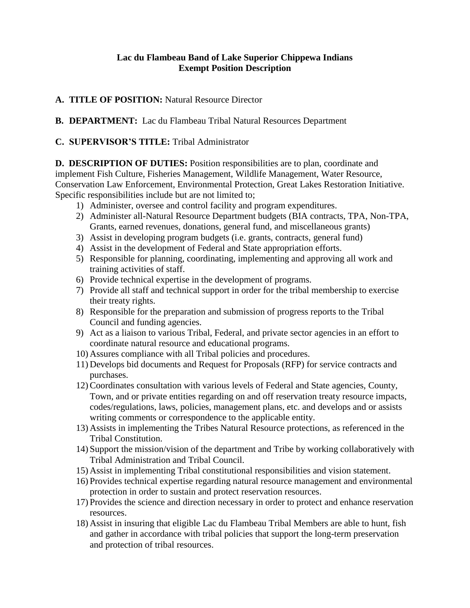### **Lac du Flambeau Band of Lake Superior Chippewa Indians Exempt Position Description**

## **A. TITLE OF POSITION:** Natural Resource Director

**B. DEPARTMENT:** Lac du Flambeau Tribal Natural Resources Department

### **C. SUPERVISOR'S TITLE:** Tribal Administrator

**D. DESCRIPTION OF DUTIES:** Position responsibilities are to plan, coordinate and implement Fish Culture, Fisheries Management, Wildlife Management, Water Resource, Conservation Law Enforcement, Environmental Protection, Great Lakes Restoration Initiative. Specific responsibilities include but are not limited to;

- 1) Administer, oversee and control facility and program expenditures.
- 2) Administer all-Natural Resource Department budgets (BIA contracts, TPA, Non-TPA, Grants, earned revenues, donations, general fund, and miscellaneous grants)
- 3) Assist in developing program budgets (i.e. grants, contracts, general fund)
- 4) Assist in the development of Federal and State appropriation efforts.
- 5) Responsible for planning, coordinating, implementing and approving all work and training activities of staff.
- 6) Provide technical expertise in the development of programs.
- 7) Provide all staff and technical support in order for the tribal membership to exercise their treaty rights.
- 8) Responsible for the preparation and submission of progress reports to the Tribal Council and funding agencies.
- 9) Act as a liaison to various Tribal, Federal, and private sector agencies in an effort to coordinate natural resource and educational programs.
- 10) Assures compliance with all Tribal policies and procedures.
- 11) Develops bid documents and Request for Proposals (RFP) for service contracts and purchases.
- 12)Coordinates consultation with various levels of Federal and State agencies, County, Town, and or private entities regarding on and off reservation treaty resource impacts, codes/regulations, laws, policies, management plans, etc. and develops and or assists writing comments or correspondence to the applicable entity.
- 13) Assists in implementing the Tribes Natural Resource protections, as referenced in the Tribal Constitution.
- 14) Support the mission/vision of the department and Tribe by working collaboratively with Tribal Administration and Tribal Council.
- 15) Assist in implementing Tribal constitutional responsibilities and vision statement.
- 16) Provides technical expertise regarding natural resource management and environmental protection in order to sustain and protect reservation resources.
- 17) Provides the science and direction necessary in order to protect and enhance reservation resources.
- 18) Assist in insuring that eligible Lac du Flambeau Tribal Members are able to hunt, fish and gather in accordance with tribal policies that support the long-term preservation and protection of tribal resources.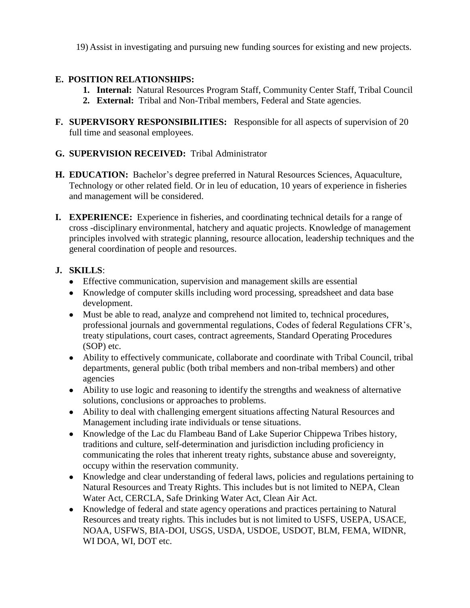19) Assist in investigating and pursuing new funding sources for existing and new projects.

## **E. POSITION RELATIONSHIPS:**

- **1. Internal:** Natural Resources Program Staff, Community Center Staff, Tribal Council
- **2. External:** Tribal and Non-Tribal members, Federal and State agencies.
- **F. SUPERVISORY RESPONSIBILITIES:** Responsible for all aspects of supervision of 20 full time and seasonal employees.
- **G. SUPERVISION RECEIVED:** Tribal Administrator
- **H. EDUCATION:** Bachelor's degree preferred in Natural Resources Sciences, Aquaculture, Technology or other related field. Or in leu of education, 10 years of experience in fisheries and management will be considered.
- **I. EXPERIENCE:** Experience in fisheries, and coordinating technical details for a range of cross -disciplinary environmental, hatchery and aquatic projects. Knowledge of management principles involved with strategic planning, resource allocation, leadership techniques and the general coordination of people and resources.

## **J. SKILLS**:

- Effective communication, supervision and management skills are essential
- Knowledge of computer skills including word processing, spreadsheet and data base development.
- Must be able to read, analyze and comprehend not limited to, technical procedures, professional journals and governmental regulations, Codes of federal Regulations CFR's, treaty stipulations, court cases, contract agreements, Standard Operating Procedures (SOP) etc.
- Ability to effectively communicate, collaborate and coordinate with Tribal Council, tribal departments, general public (both tribal members and non-tribal members) and other agencies
- Ability to use logic and reasoning to identify the strengths and weakness of alternative solutions, conclusions or approaches to problems.
- Ability to deal with challenging emergent situations affecting Natural Resources and Management including irate individuals or tense situations.
- Knowledge of the Lac du Flambeau Band of Lake Superior Chippewa Tribes history, traditions and culture, self-determination and jurisdiction including proficiency in communicating the roles that inherent treaty rights, substance abuse and sovereignty, occupy within the reservation community.
- Knowledge and clear understanding of federal laws, policies and regulations pertaining to Natural Resources and Treaty Rights. This includes but is not limited to NEPA, Clean Water Act, CERCLA, Safe Drinking Water Act, Clean Air Act.
- Knowledge of federal and state agency operations and practices pertaining to Natural Resources and treaty rights. This includes but is not limited to USFS, USEPA, USACE, NOAA, USFWS, BIA-DOI, USGS, USDA, USDOE, USDOT, BLM, FEMA, WIDNR, WI DOA, WI, DOT etc.